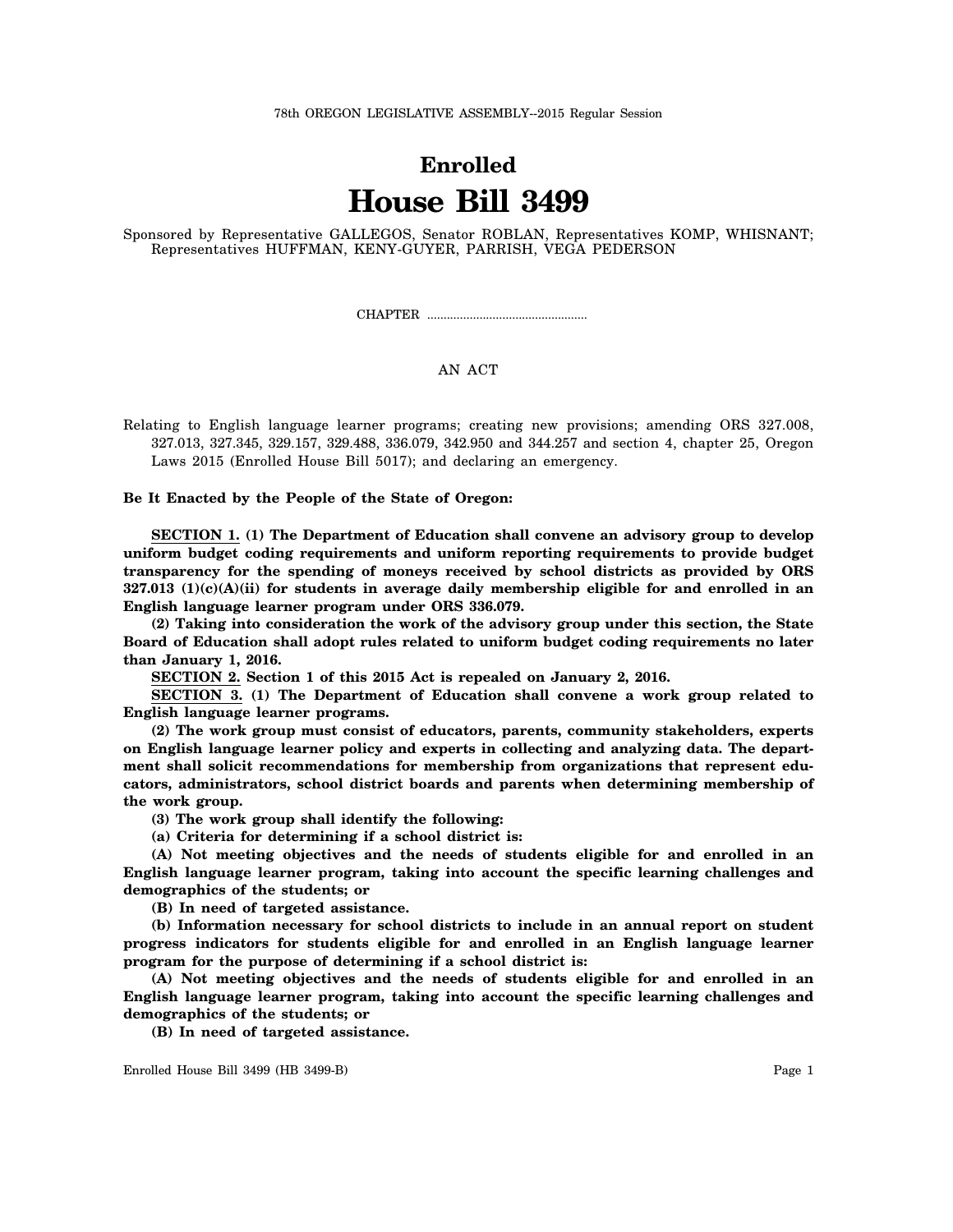## **Enrolled House Bill 3499**

Sponsored by Representative GALLEGOS, Senator ROBLAN, Representatives KOMP, WHISNANT; Representatives HUFFMAN, KENY-GUYER, PARRISH, VEGA PEDERSON

CHAPTER .................................................

## AN ACT

Relating to English language learner programs; creating new provisions; amending ORS 327.008, 327.013, 327.345, 329.157, 329.488, 336.079, 342.950 and 344.257 and section 4, chapter 25, Oregon Laws 2015 (Enrolled House Bill 5017); and declaring an emergency.

**Be It Enacted by the People of the State of Oregon:**

**SECTION 1. (1) The Department of Education shall convene an advisory group to develop uniform budget coding requirements and uniform reporting requirements to provide budget transparency for the spending of moneys received by school districts as provided by ORS 327.013 (1)(c)(A)(ii) for students in average daily membership eligible for and enrolled in an English language learner program under ORS 336.079.**

**(2) Taking into consideration the work of the advisory group under this section, the State Board of Education shall adopt rules related to uniform budget coding requirements no later than January 1, 2016.**

**SECTION 2. Section 1 of this 2015 Act is repealed on January 2, 2016.**

**SECTION 3. (1) The Department of Education shall convene a work group related to English language learner programs.**

**(2) The work group must consist of educators, parents, community stakeholders, experts on English language learner policy and experts in collecting and analyzing data. The department shall solicit recommendations for membership from organizations that represent educators, administrators, school district boards and parents when determining membership of the work group.**

**(3) The work group shall identify the following:**

**(a) Criteria for determining if a school district is:**

**(A) Not meeting objectives and the needs of students eligible for and enrolled in an English language learner program, taking into account the specific learning challenges and demographics of the students; or**

**(B) In need of targeted assistance.**

**(b) Information necessary for school districts to include in an annual report on student progress indicators for students eligible for and enrolled in an English language learner program for the purpose of determining if a school district is:**

**(A) Not meeting objectives and the needs of students eligible for and enrolled in an English language learner program, taking into account the specific learning challenges and demographics of the students; or**

**(B) In need of targeted assistance.**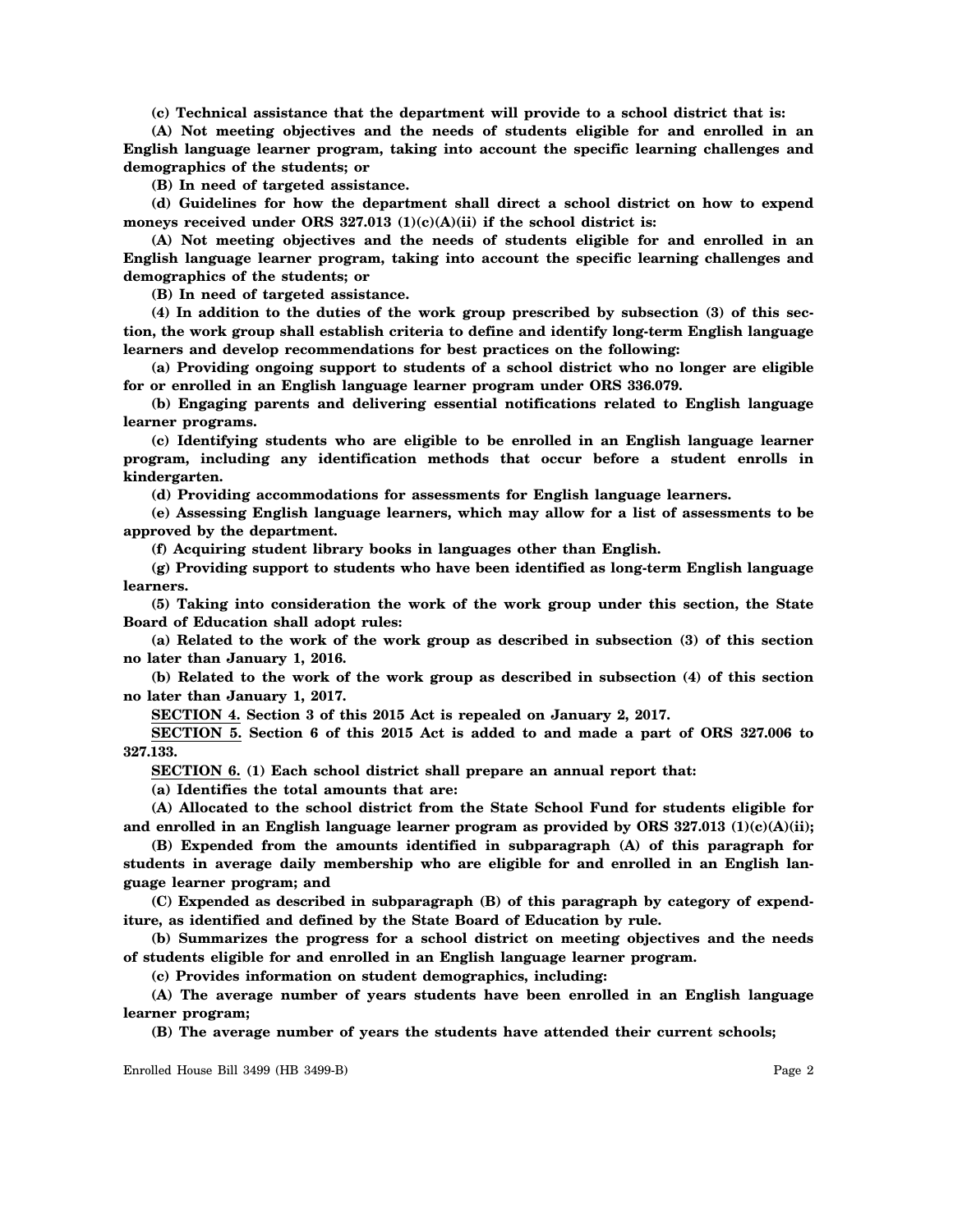**(c) Technical assistance that the department will provide to a school district that is:**

**(A) Not meeting objectives and the needs of students eligible for and enrolled in an English language learner program, taking into account the specific learning challenges and demographics of the students; or**

**(B) In need of targeted assistance.**

**(d) Guidelines for how the department shall direct a school district on how to expend moneys received under ORS 327.013 (1)(c)(A)(ii) if the school district is:**

**(A) Not meeting objectives and the needs of students eligible for and enrolled in an English language learner program, taking into account the specific learning challenges and demographics of the students; or**

**(B) In need of targeted assistance.**

**(4) In addition to the duties of the work group prescribed by subsection (3) of this section, the work group shall establish criteria to define and identify long-term English language learners and develop recommendations for best practices on the following:**

**(a) Providing ongoing support to students of a school district who no longer are eligible for or enrolled in an English language learner program under ORS 336.079.**

**(b) Engaging parents and delivering essential notifications related to English language learner programs.**

**(c) Identifying students who are eligible to be enrolled in an English language learner program, including any identification methods that occur before a student enrolls in kindergarten.**

**(d) Providing accommodations for assessments for English language learners.**

**(e) Assessing English language learners, which may allow for a list of assessments to be approved by the department.**

**(f) Acquiring student library books in languages other than English.**

**(g) Providing support to students who have been identified as long-term English language learners.**

**(5) Taking into consideration the work of the work group under this section, the State Board of Education shall adopt rules:**

**(a) Related to the work of the work group as described in subsection (3) of this section no later than January 1, 2016.**

**(b) Related to the work of the work group as described in subsection (4) of this section no later than January 1, 2017.**

**SECTION 4. Section 3 of this 2015 Act is repealed on January 2, 2017.**

**SECTION 5. Section 6 of this 2015 Act is added to and made a part of ORS 327.006 to 327.133.**

**SECTION 6. (1) Each school district shall prepare an annual report that:**

**(a) Identifies the total amounts that are:**

**(A) Allocated to the school district from the State School Fund for students eligible for and enrolled in an English language learner program as provided by ORS 327.013 (1)(c)(A)(ii);**

**(B) Expended from the amounts identified in subparagraph (A) of this paragraph for students in average daily membership who are eligible for and enrolled in an English language learner program; and**

**(C) Expended as described in subparagraph (B) of this paragraph by category of expenditure, as identified and defined by the State Board of Education by rule.**

**(b) Summarizes the progress for a school district on meeting objectives and the needs of students eligible for and enrolled in an English language learner program.**

**(c) Provides information on student demographics, including:**

**(A) The average number of years students have been enrolled in an English language learner program;**

**(B) The average number of years the students have attended their current schools;**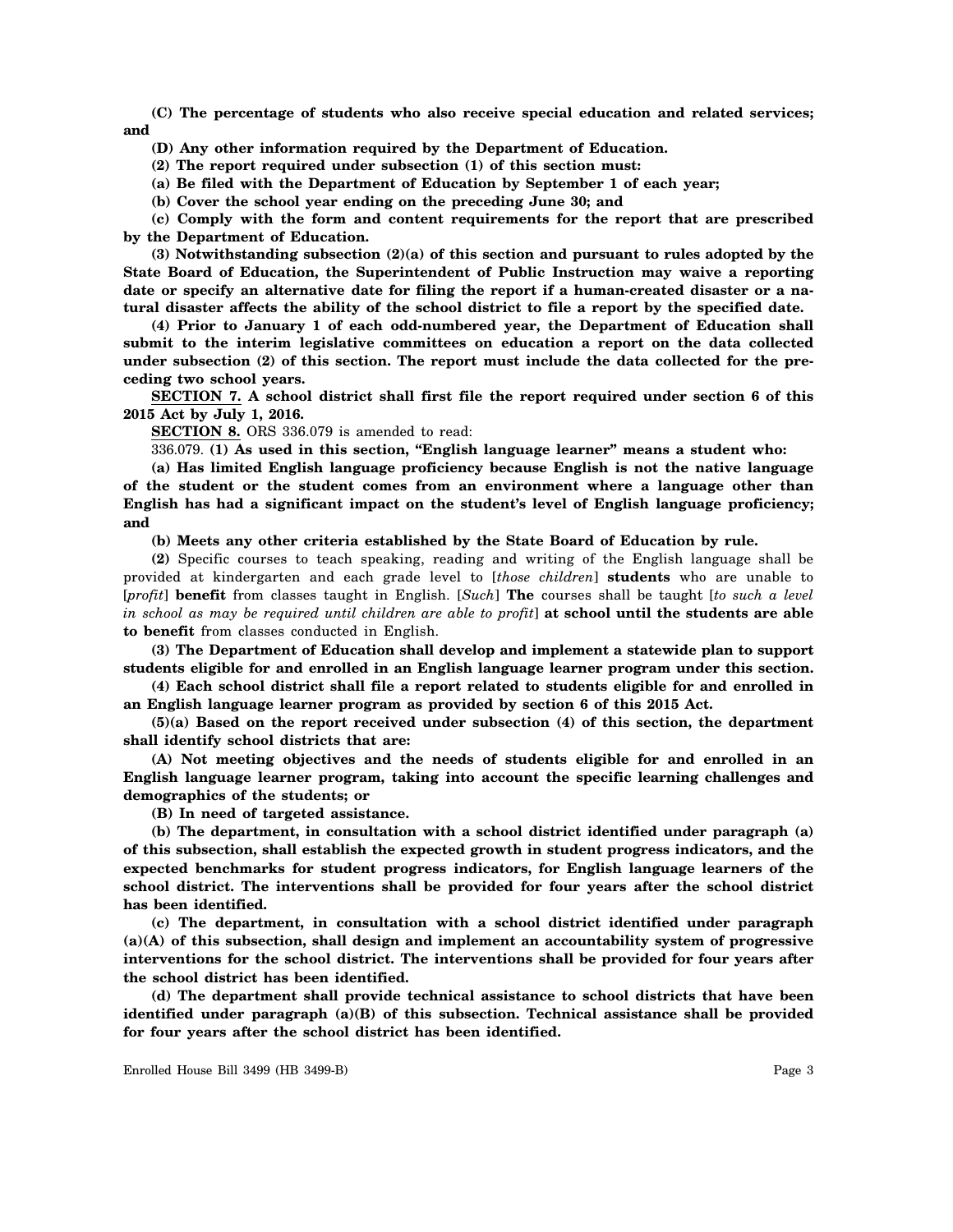**(C) The percentage of students who also receive special education and related services; and**

**(D) Any other information required by the Department of Education.**

**(2) The report required under subsection (1) of this section must:**

**(a) Be filed with the Department of Education by September 1 of each year;**

**(b) Cover the school year ending on the preceding June 30; and**

**(c) Comply with the form and content requirements for the report that are prescribed by the Department of Education.**

**(3) Notwithstanding subsection (2)(a) of this section and pursuant to rules adopted by the State Board of Education, the Superintendent of Public Instruction may waive a reporting date or specify an alternative date for filing the report if a human-created disaster or a natural disaster affects the ability of the school district to file a report by the specified date.**

**(4) Prior to January 1 of each odd-numbered year, the Department of Education shall submit to the interim legislative committees on education a report on the data collected under subsection (2) of this section. The report must include the data collected for the preceding two school years.**

**SECTION 7. A school district shall first file the report required under section 6 of this 2015 Act by July 1, 2016.**

**SECTION 8.** ORS 336.079 is amended to read:

336.079. **(1) As used in this section, "English language learner" means a student who:**

**(a) Has limited English language proficiency because English is not the native language of the student or the student comes from an environment where a language other than English has had a significant impact on the student's level of English language proficiency; and**

**(b) Meets any other criteria established by the State Board of Education by rule.**

**(2)** Specific courses to teach speaking, reading and writing of the English language shall be provided at kindergarten and each grade level to [*those children*] **students** who are unable to [*profit*] **benefit** from classes taught in English. [*Such*] **The** courses shall be taught [*to such a level in school as may be required until children are able to profit*] **at school until the students are able to benefit** from classes conducted in English.

**(3) The Department of Education shall develop and implement a statewide plan to support students eligible for and enrolled in an English language learner program under this section.**

**(4) Each school district shall file a report related to students eligible for and enrolled in an English language learner program as provided by section 6 of this 2015 Act.**

**(5)(a) Based on the report received under subsection (4) of this section, the department shall identify school districts that are:**

**(A) Not meeting objectives and the needs of students eligible for and enrolled in an English language learner program, taking into account the specific learning challenges and demographics of the students; or**

**(B) In need of targeted assistance.**

**(b) The department, in consultation with a school district identified under paragraph (a) of this subsection, shall establish the expected growth in student progress indicators, and the expected benchmarks for student progress indicators, for English language learners of the school district. The interventions shall be provided for four years after the school district has been identified.**

**(c) The department, in consultation with a school district identified under paragraph (a)(A) of this subsection, shall design and implement an accountability system of progressive interventions for the school district. The interventions shall be provided for four years after the school district has been identified.**

**(d) The department shall provide technical assistance to school districts that have been identified under paragraph (a)(B) of this subsection. Technical assistance shall be provided for four years after the school district has been identified.**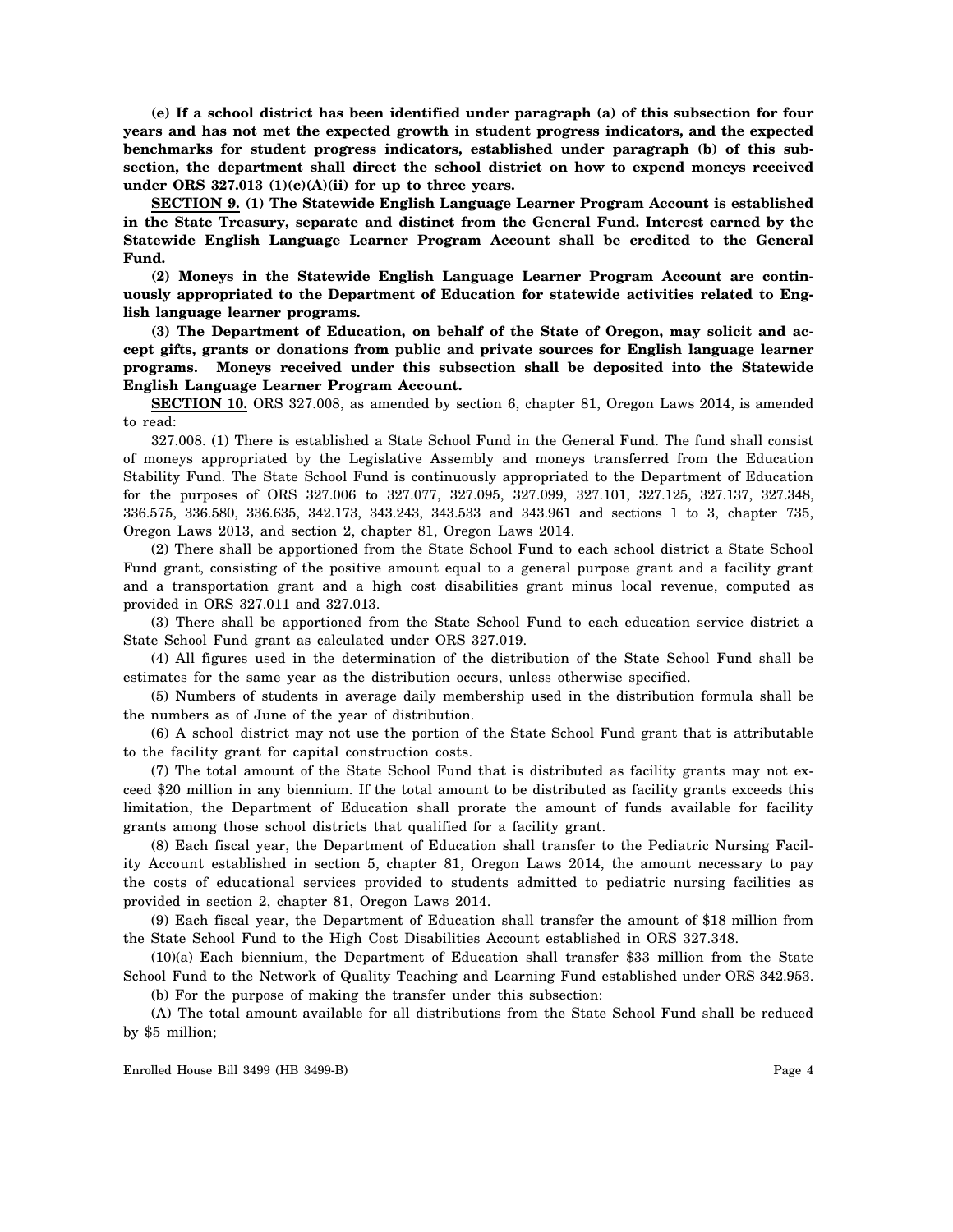**(e) If a school district has been identified under paragraph (a) of this subsection for four years and has not met the expected growth in student progress indicators, and the expected benchmarks for student progress indicators, established under paragraph (b) of this subsection, the department shall direct the school district on how to expend moneys received under ORS 327.013 (1)(c)(A)(ii) for up to three years.**

**SECTION 9. (1) The Statewide English Language Learner Program Account is established in the State Treasury, separate and distinct from the General Fund. Interest earned by the Statewide English Language Learner Program Account shall be credited to the General Fund.**

**(2) Moneys in the Statewide English Language Learner Program Account are continuously appropriated to the Department of Education for statewide activities related to English language learner programs.**

**(3) The Department of Education, on behalf of the State of Oregon, may solicit and accept gifts, grants or donations from public and private sources for English language learner programs. Moneys received under this subsection shall be deposited into the Statewide English Language Learner Program Account.**

**SECTION 10.** ORS 327.008, as amended by section 6, chapter 81, Oregon Laws 2014, is amended to read:

327.008. (1) There is established a State School Fund in the General Fund. The fund shall consist of moneys appropriated by the Legislative Assembly and moneys transferred from the Education Stability Fund. The State School Fund is continuously appropriated to the Department of Education for the purposes of ORS 327.006 to 327.077, 327.095, 327.099, 327.101, 327.125, 327.137, 327.348, 336.575, 336.580, 336.635, 342.173, 343.243, 343.533 and 343.961 and sections 1 to 3, chapter 735, Oregon Laws 2013, and section 2, chapter 81, Oregon Laws 2014.

(2) There shall be apportioned from the State School Fund to each school district a State School Fund grant, consisting of the positive amount equal to a general purpose grant and a facility grant and a transportation grant and a high cost disabilities grant minus local revenue, computed as provided in ORS 327.011 and 327.013.

(3) There shall be apportioned from the State School Fund to each education service district a State School Fund grant as calculated under ORS 327.019.

(4) All figures used in the determination of the distribution of the State School Fund shall be estimates for the same year as the distribution occurs, unless otherwise specified.

(5) Numbers of students in average daily membership used in the distribution formula shall be the numbers as of June of the year of distribution.

(6) A school district may not use the portion of the State School Fund grant that is attributable to the facility grant for capital construction costs.

(7) The total amount of the State School Fund that is distributed as facility grants may not exceed \$20 million in any biennium. If the total amount to be distributed as facility grants exceeds this limitation, the Department of Education shall prorate the amount of funds available for facility grants among those school districts that qualified for a facility grant.

(8) Each fiscal year, the Department of Education shall transfer to the Pediatric Nursing Facility Account established in section 5, chapter 81, Oregon Laws 2014, the amount necessary to pay the costs of educational services provided to students admitted to pediatric nursing facilities as provided in section 2, chapter 81, Oregon Laws 2014.

(9) Each fiscal year, the Department of Education shall transfer the amount of \$18 million from the State School Fund to the High Cost Disabilities Account established in ORS 327.348.

(10)(a) Each biennium, the Department of Education shall transfer \$33 million from the State School Fund to the Network of Quality Teaching and Learning Fund established under ORS 342.953. (b) For the purpose of making the transfer under this subsection:

(A) The total amount available for all distributions from the State School Fund shall be reduced by \$5 million;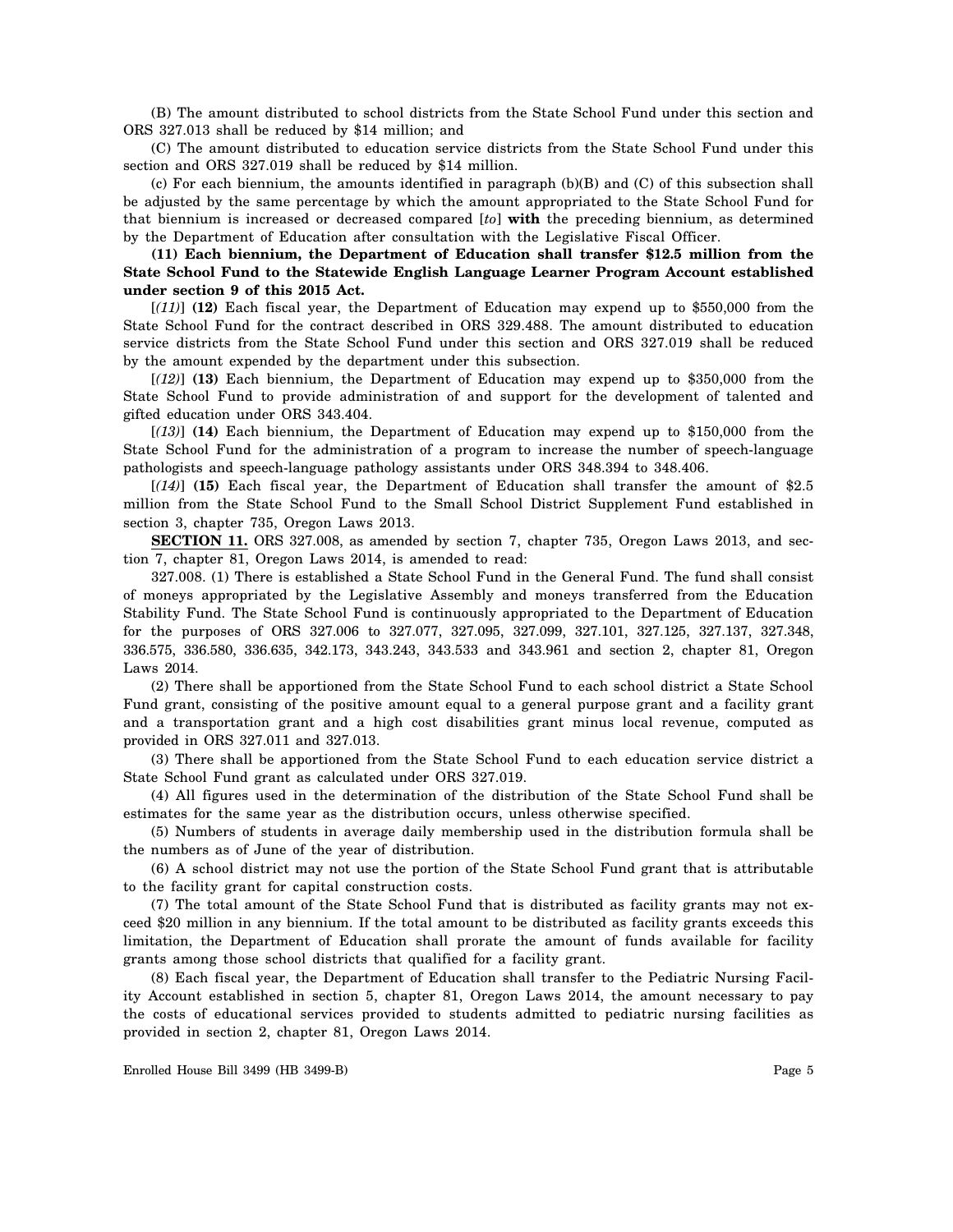(B) The amount distributed to school districts from the State School Fund under this section and ORS 327.013 shall be reduced by \$14 million; and

(C) The amount distributed to education service districts from the State School Fund under this section and ORS 327.019 shall be reduced by \$14 million.

(c) For each biennium, the amounts identified in paragraph (b)(B) and (C) of this subsection shall be adjusted by the same percentage by which the amount appropriated to the State School Fund for that biennium is increased or decreased compared [*to*] **with** the preceding biennium, as determined by the Department of Education after consultation with the Legislative Fiscal Officer.

## **(11) Each biennium, the Department of Education shall transfer \$12.5 million from the State School Fund to the Statewide English Language Learner Program Account established under section 9 of this 2015 Act.**

[*(11)*] **(12)** Each fiscal year, the Department of Education may expend up to \$550,000 from the State School Fund for the contract described in ORS 329.488. The amount distributed to education service districts from the State School Fund under this section and ORS 327.019 shall be reduced by the amount expended by the department under this subsection.

[*(12)*] **(13)** Each biennium, the Department of Education may expend up to \$350,000 from the State School Fund to provide administration of and support for the development of talented and gifted education under ORS 343.404.

[*(13)*] **(14)** Each biennium, the Department of Education may expend up to \$150,000 from the State School Fund for the administration of a program to increase the number of speech-language pathologists and speech-language pathology assistants under ORS 348.394 to 348.406.

[*(14)*] **(15)** Each fiscal year, the Department of Education shall transfer the amount of \$2.5 million from the State School Fund to the Small School District Supplement Fund established in section 3, chapter 735, Oregon Laws 2013.

**SECTION 11.** ORS 327.008, as amended by section 7, chapter 735, Oregon Laws 2013, and section 7, chapter 81, Oregon Laws 2014, is amended to read:

327.008. (1) There is established a State School Fund in the General Fund. The fund shall consist of moneys appropriated by the Legislative Assembly and moneys transferred from the Education Stability Fund. The State School Fund is continuously appropriated to the Department of Education for the purposes of ORS 327.006 to 327.077, 327.095, 327.099, 327.101, 327.125, 327.137, 327.348, 336.575, 336.580, 336.635, 342.173, 343.243, 343.533 and 343.961 and section 2, chapter 81, Oregon Laws 2014.

(2) There shall be apportioned from the State School Fund to each school district a State School Fund grant, consisting of the positive amount equal to a general purpose grant and a facility grant and a transportation grant and a high cost disabilities grant minus local revenue, computed as provided in ORS 327.011 and 327.013.

(3) There shall be apportioned from the State School Fund to each education service district a State School Fund grant as calculated under ORS 327.019.

(4) All figures used in the determination of the distribution of the State School Fund shall be estimates for the same year as the distribution occurs, unless otherwise specified.

(5) Numbers of students in average daily membership used in the distribution formula shall be the numbers as of June of the year of distribution.

(6) A school district may not use the portion of the State School Fund grant that is attributable to the facility grant for capital construction costs.

(7) The total amount of the State School Fund that is distributed as facility grants may not exceed \$20 million in any biennium. If the total amount to be distributed as facility grants exceeds this limitation, the Department of Education shall prorate the amount of funds available for facility grants among those school districts that qualified for a facility grant.

(8) Each fiscal year, the Department of Education shall transfer to the Pediatric Nursing Facility Account established in section 5, chapter 81, Oregon Laws 2014, the amount necessary to pay the costs of educational services provided to students admitted to pediatric nursing facilities as provided in section 2, chapter 81, Oregon Laws 2014.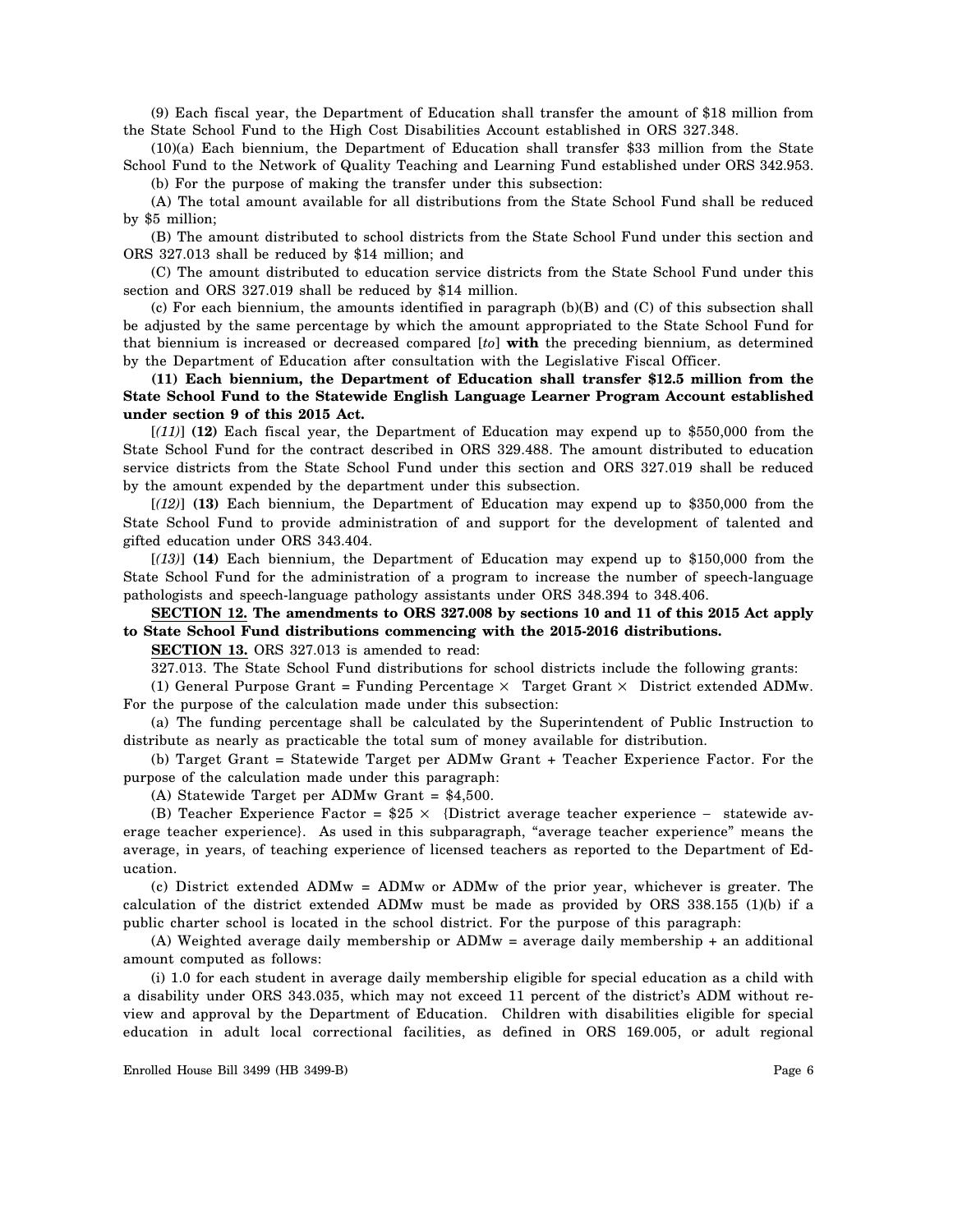(9) Each fiscal year, the Department of Education shall transfer the amount of \$18 million from the State School Fund to the High Cost Disabilities Account established in ORS 327.348.

(10)(a) Each biennium, the Department of Education shall transfer \$33 million from the State School Fund to the Network of Quality Teaching and Learning Fund established under ORS 342.953.

(b) For the purpose of making the transfer under this subsection:

(A) The total amount available for all distributions from the State School Fund shall be reduced by \$5 million;

(B) The amount distributed to school districts from the State School Fund under this section and ORS 327.013 shall be reduced by \$14 million; and

(C) The amount distributed to education service districts from the State School Fund under this section and ORS 327.019 shall be reduced by \$14 million.

(c) For each biennium, the amounts identified in paragraph (b)(B) and (C) of this subsection shall be adjusted by the same percentage by which the amount appropriated to the State School Fund for that biennium is increased or decreased compared [*to*] **with** the preceding biennium, as determined by the Department of Education after consultation with the Legislative Fiscal Officer.

**(11) Each biennium, the Department of Education shall transfer \$12.5 million from the State School Fund to the Statewide English Language Learner Program Account established under section 9 of this 2015 Act.**

[*(11)*] **(12)** Each fiscal year, the Department of Education may expend up to \$550,000 from the State School Fund for the contract described in ORS 329.488. The amount distributed to education service districts from the State School Fund under this section and ORS 327.019 shall be reduced by the amount expended by the department under this subsection.

[*(12)*] **(13)** Each biennium, the Department of Education may expend up to \$350,000 from the State School Fund to provide administration of and support for the development of talented and gifted education under ORS 343.404.

[*(13)*] **(14)** Each biennium, the Department of Education may expend up to \$150,000 from the State School Fund for the administration of a program to increase the number of speech-language pathologists and speech-language pathology assistants under ORS 348.394 to 348.406.

**SECTION 12. The amendments to ORS 327.008 by sections 10 and 11 of this 2015 Act apply to State School Fund distributions commencing with the 2015-2016 distributions.**

**SECTION 13.** ORS 327.013 is amended to read:

327.013. The State School Fund distributions for school districts include the following grants:

(1) General Purpose Grant = Funding Percentage  $\times$  Target Grant  $\times$  District extended ADMw. For the purpose of the calculation made under this subsection:

(a) The funding percentage shall be calculated by the Superintendent of Public Instruction to distribute as nearly as practicable the total sum of money available for distribution.

(b) Target Grant = Statewide Target per ADMw Grant + Teacher Experience Factor. For the purpose of the calculation made under this paragraph:

(A) Statewide Target per ADMw Grant = \$4,500.

(B) Teacher Experience Factor = \$25 × {District average teacher experience − statewide average teacher experience}. As used in this subparagraph, "average teacher experience" means the average, in years, of teaching experience of licensed teachers as reported to the Department of Education.

(c) District extended ADMw = ADMw or ADMw of the prior year, whichever is greater. The calculation of the district extended ADMw must be made as provided by ORS 338.155 (1)(b) if a public charter school is located in the school district. For the purpose of this paragraph:

(A) Weighted average daily membership or ADMw = average daily membership + an additional amount computed as follows:

(i) 1.0 for each student in average daily membership eligible for special education as a child with a disability under ORS 343.035, which may not exceed 11 percent of the district's ADM without review and approval by the Department of Education. Children with disabilities eligible for special education in adult local correctional facilities, as defined in ORS 169.005, or adult regional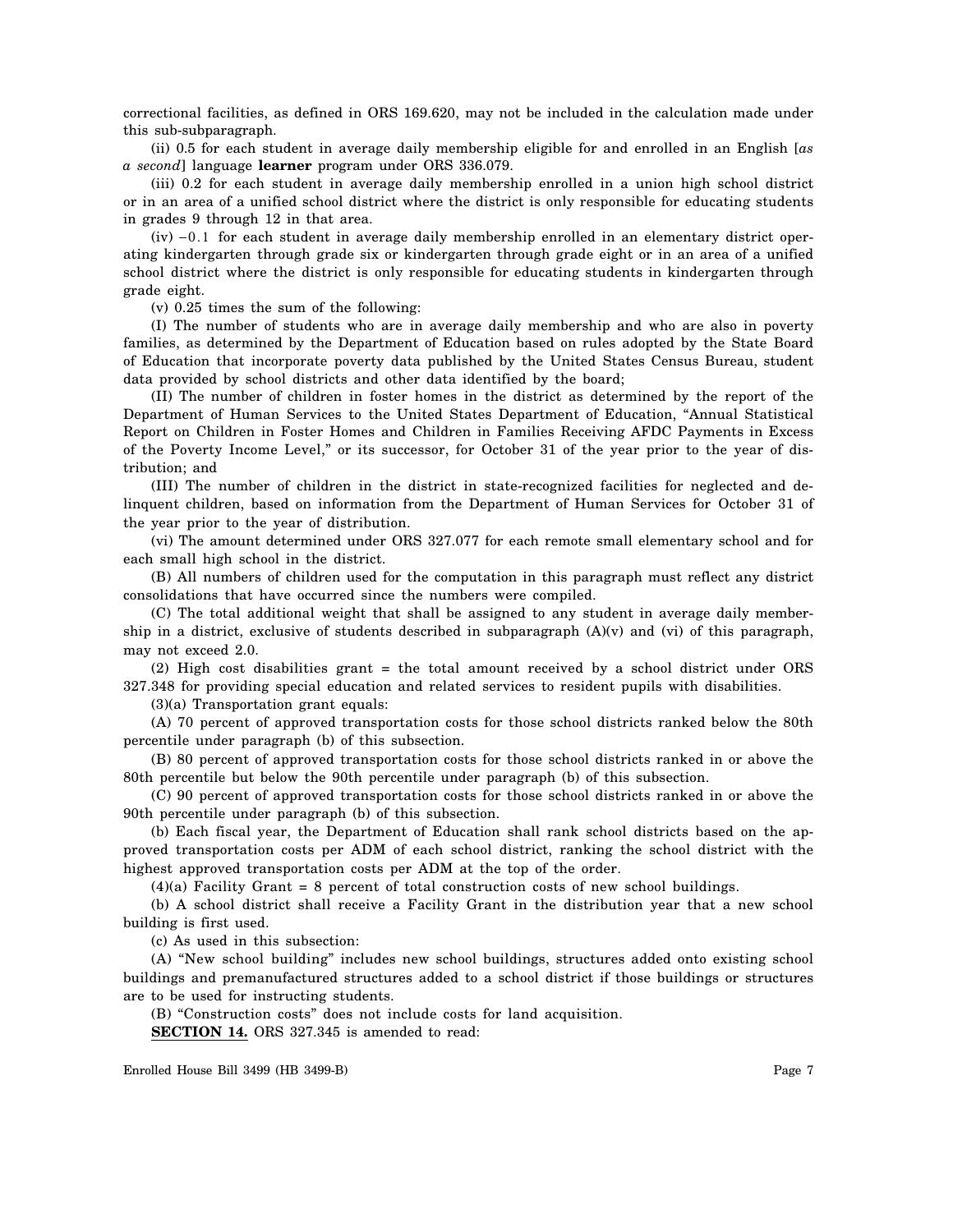correctional facilities, as defined in ORS 169.620, may not be included in the calculation made under this sub-subparagraph.

(ii) 0.5 for each student in average daily membership eligible for and enrolled in an English [*as a second*] language **learner** program under ORS 336.079.

(iii) 0.2 for each student in average daily membership enrolled in a union high school district or in an area of a unified school district where the district is only responsible for educating students in grades 9 through 12 in that area.

(iv) −0.1 for each student in average daily membership enrolled in an elementary district operating kindergarten through grade six or kindergarten through grade eight or in an area of a unified school district where the district is only responsible for educating students in kindergarten through grade eight.

(v) 0.25 times the sum of the following:

(I) The number of students who are in average daily membership and who are also in poverty families, as determined by the Department of Education based on rules adopted by the State Board of Education that incorporate poverty data published by the United States Census Bureau, student data provided by school districts and other data identified by the board;

(II) The number of children in foster homes in the district as determined by the report of the Department of Human Services to the United States Department of Education, "Annual Statistical Report on Children in Foster Homes and Children in Families Receiving AFDC Payments in Excess of the Poverty Income Level," or its successor, for October 31 of the year prior to the year of distribution; and

(III) The number of children in the district in state-recognized facilities for neglected and delinquent children, based on information from the Department of Human Services for October 31 of the year prior to the year of distribution.

(vi) The amount determined under ORS 327.077 for each remote small elementary school and for each small high school in the district.

(B) All numbers of children used for the computation in this paragraph must reflect any district consolidations that have occurred since the numbers were compiled.

(C) The total additional weight that shall be assigned to any student in average daily membership in a district, exclusive of students described in subparagraph  $(A)(v)$  and  $(vi)$  of this paragraph, may not exceed 2.0.

(2) High cost disabilities grant = the total amount received by a school district under ORS 327.348 for providing special education and related services to resident pupils with disabilities.

(3)(a) Transportation grant equals:

(A) 70 percent of approved transportation costs for those school districts ranked below the 80th percentile under paragraph (b) of this subsection.

(B) 80 percent of approved transportation costs for those school districts ranked in or above the 80th percentile but below the 90th percentile under paragraph (b) of this subsection.

(C) 90 percent of approved transportation costs for those school districts ranked in or above the 90th percentile under paragraph (b) of this subsection.

(b) Each fiscal year, the Department of Education shall rank school districts based on the approved transportation costs per ADM of each school district, ranking the school district with the highest approved transportation costs per ADM at the top of the order.

 $(4)(a)$  Facility Grant = 8 percent of total construction costs of new school buildings.

(b) A school district shall receive a Facility Grant in the distribution year that a new school building is first used.

(c) As used in this subsection:

(A) "New school building" includes new school buildings, structures added onto existing school buildings and premanufactured structures added to a school district if those buildings or structures are to be used for instructing students.

(B) "Construction costs" does not include costs for land acquisition.

**SECTION 14.** ORS 327.345 is amended to read: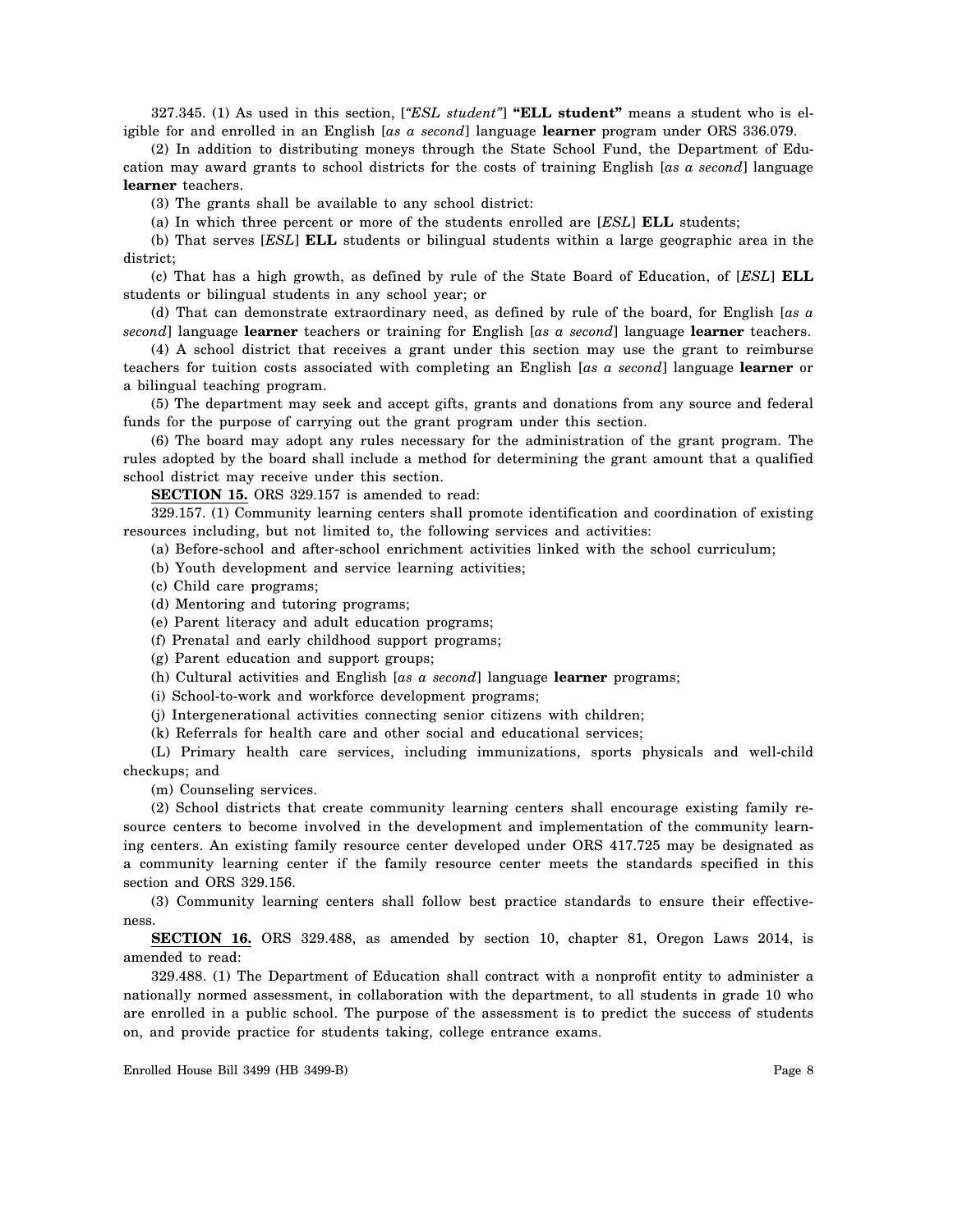327.345. (1) As used in this section, [*"ESL student"*] **"ELL student"** means a student who is eligible for and enrolled in an English [*as a second*] language **learner** program under ORS 336.079.

(2) In addition to distributing moneys through the State School Fund, the Department of Education may award grants to school districts for the costs of training English [*as a second*] language **learner** teachers.

(3) The grants shall be available to any school district:

(a) In which three percent or more of the students enrolled are [*ESL*] **ELL** students;

(b) That serves [*ESL*] **ELL** students or bilingual students within a large geographic area in the district;

(c) That has a high growth, as defined by rule of the State Board of Education, of [*ESL*] **ELL** students or bilingual students in any school year; or

(d) That can demonstrate extraordinary need, as defined by rule of the board, for English [*as a second*] language **learner** teachers or training for English [*as a second*] language **learner** teachers.

(4) A school district that receives a grant under this section may use the grant to reimburse teachers for tuition costs associated with completing an English [*as a second*] language **learner** or a bilingual teaching program.

(5) The department may seek and accept gifts, grants and donations from any source and federal funds for the purpose of carrying out the grant program under this section.

(6) The board may adopt any rules necessary for the administration of the grant program. The rules adopted by the board shall include a method for determining the grant amount that a qualified school district may receive under this section.

**SECTION 15.** ORS 329.157 is amended to read:

329.157. (1) Community learning centers shall promote identification and coordination of existing resources including, but not limited to, the following services and activities:

(a) Before-school and after-school enrichment activities linked with the school curriculum;

- (b) Youth development and service learning activities;
- (c) Child care programs;
- (d) Mentoring and tutoring programs;

(e) Parent literacy and adult education programs;

- (f) Prenatal and early childhood support programs;
- (g) Parent education and support groups;
- (h) Cultural activities and English [*as a second*] language **learner** programs;
- (i) School-to-work and workforce development programs;
- (j) Intergenerational activities connecting senior citizens with children;

(k) Referrals for health care and other social and educational services;

(L) Primary health care services, including immunizations, sports physicals and well-child checkups; and

(m) Counseling services.

(2) School districts that create community learning centers shall encourage existing family resource centers to become involved in the development and implementation of the community learning centers. An existing family resource center developed under ORS 417.725 may be designated as a community learning center if the family resource center meets the standards specified in this section and ORS 329.156.

(3) Community learning centers shall follow best practice standards to ensure their effectiveness.

**SECTION 16.** ORS 329.488, as amended by section 10, chapter 81, Oregon Laws 2014, is amended to read:

329.488. (1) The Department of Education shall contract with a nonprofit entity to administer a nationally normed assessment, in collaboration with the department, to all students in grade 10 who are enrolled in a public school. The purpose of the assessment is to predict the success of students on, and provide practice for students taking, college entrance exams.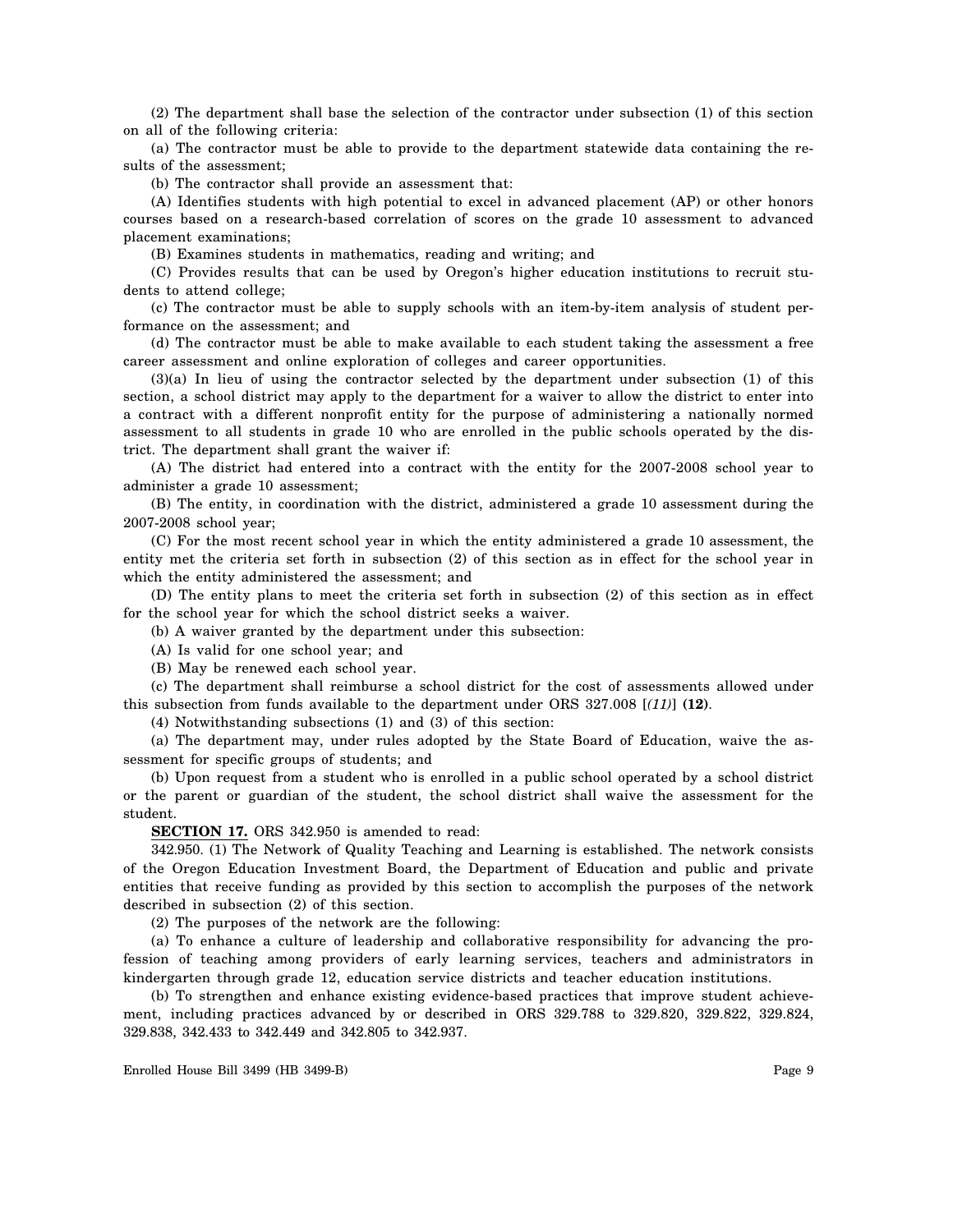(2) The department shall base the selection of the contractor under subsection (1) of this section on all of the following criteria:

(a) The contractor must be able to provide to the department statewide data containing the results of the assessment;

(b) The contractor shall provide an assessment that:

(A) Identifies students with high potential to excel in advanced placement (AP) or other honors courses based on a research-based correlation of scores on the grade 10 assessment to advanced placement examinations;

(B) Examines students in mathematics, reading and writing; and

(C) Provides results that can be used by Oregon's higher education institutions to recruit students to attend college;

(c) The contractor must be able to supply schools with an item-by-item analysis of student performance on the assessment; and

(d) The contractor must be able to make available to each student taking the assessment a free career assessment and online exploration of colleges and career opportunities.

(3)(a) In lieu of using the contractor selected by the department under subsection (1) of this section, a school district may apply to the department for a waiver to allow the district to enter into a contract with a different nonprofit entity for the purpose of administering a nationally normed assessment to all students in grade 10 who are enrolled in the public schools operated by the district. The department shall grant the waiver if:

(A) The district had entered into a contract with the entity for the 2007-2008 school year to administer a grade 10 assessment;

(B) The entity, in coordination with the district, administered a grade 10 assessment during the 2007-2008 school year;

(C) For the most recent school year in which the entity administered a grade 10 assessment, the entity met the criteria set forth in subsection (2) of this section as in effect for the school year in which the entity administered the assessment; and

(D) The entity plans to meet the criteria set forth in subsection (2) of this section as in effect for the school year for which the school district seeks a waiver.

(b) A waiver granted by the department under this subsection:

(A) Is valid for one school year; and

(B) May be renewed each school year.

(c) The department shall reimburse a school district for the cost of assessments allowed under this subsection from funds available to the department under ORS 327.008 [*(11)*] **(12)**.

(4) Notwithstanding subsections (1) and (3) of this section:

(a) The department may, under rules adopted by the State Board of Education, waive the assessment for specific groups of students; and

(b) Upon request from a student who is enrolled in a public school operated by a school district or the parent or guardian of the student, the school district shall waive the assessment for the student.

**SECTION 17.** ORS 342.950 is amended to read:

342.950. (1) The Network of Quality Teaching and Learning is established. The network consists of the Oregon Education Investment Board, the Department of Education and public and private entities that receive funding as provided by this section to accomplish the purposes of the network described in subsection (2) of this section.

(2) The purposes of the network are the following:

(a) To enhance a culture of leadership and collaborative responsibility for advancing the profession of teaching among providers of early learning services, teachers and administrators in kindergarten through grade 12, education service districts and teacher education institutions.

(b) To strengthen and enhance existing evidence-based practices that improve student achievement, including practices advanced by or described in ORS 329.788 to 329.820, 329.822, 329.824, 329.838, 342.433 to 342.449 and 342.805 to 342.937.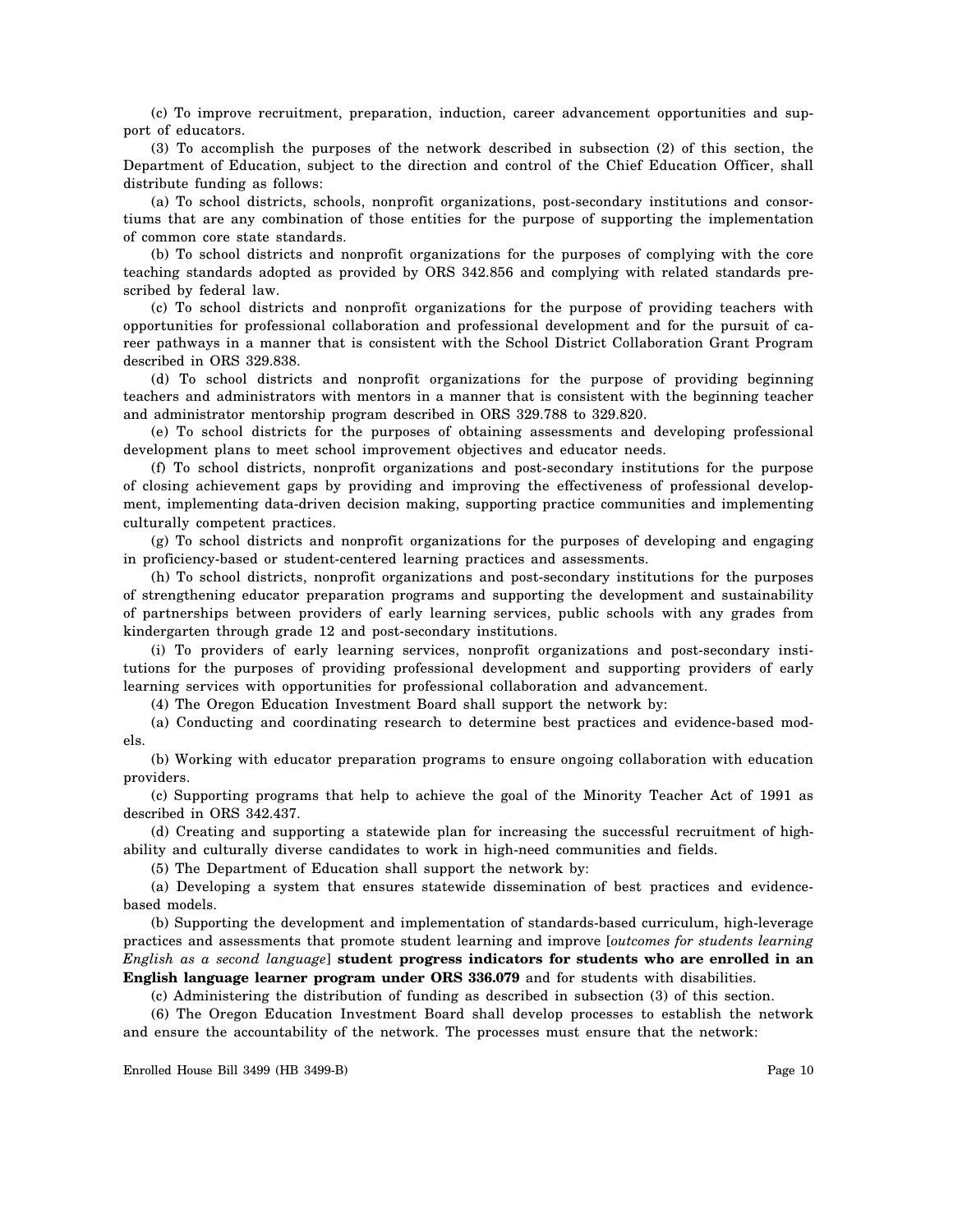(c) To improve recruitment, preparation, induction, career advancement opportunities and support of educators.

(3) To accomplish the purposes of the network described in subsection (2) of this section, the Department of Education, subject to the direction and control of the Chief Education Officer, shall distribute funding as follows:

(a) To school districts, schools, nonprofit organizations, post-secondary institutions and consortiums that are any combination of those entities for the purpose of supporting the implementation of common core state standards.

(b) To school districts and nonprofit organizations for the purposes of complying with the core teaching standards adopted as provided by ORS 342.856 and complying with related standards prescribed by federal law.

(c) To school districts and nonprofit organizations for the purpose of providing teachers with opportunities for professional collaboration and professional development and for the pursuit of career pathways in a manner that is consistent with the School District Collaboration Grant Program described in ORS 329.838.

(d) To school districts and nonprofit organizations for the purpose of providing beginning teachers and administrators with mentors in a manner that is consistent with the beginning teacher and administrator mentorship program described in ORS 329.788 to 329.820.

(e) To school districts for the purposes of obtaining assessments and developing professional development plans to meet school improvement objectives and educator needs.

(f) To school districts, nonprofit organizations and post-secondary institutions for the purpose of closing achievement gaps by providing and improving the effectiveness of professional development, implementing data-driven decision making, supporting practice communities and implementing culturally competent practices.

(g) To school districts and nonprofit organizations for the purposes of developing and engaging in proficiency-based or student-centered learning practices and assessments.

(h) To school districts, nonprofit organizations and post-secondary institutions for the purposes of strengthening educator preparation programs and supporting the development and sustainability of partnerships between providers of early learning services, public schools with any grades from kindergarten through grade 12 and post-secondary institutions.

(i) To providers of early learning services, nonprofit organizations and post-secondary institutions for the purposes of providing professional development and supporting providers of early learning services with opportunities for professional collaboration and advancement.

(4) The Oregon Education Investment Board shall support the network by:

(a) Conducting and coordinating research to determine best practices and evidence-based models.

(b) Working with educator preparation programs to ensure ongoing collaboration with education providers.

(c) Supporting programs that help to achieve the goal of the Minority Teacher Act of 1991 as described in ORS 342.437.

(d) Creating and supporting a statewide plan for increasing the successful recruitment of highability and culturally diverse candidates to work in high-need communities and fields.

(5) The Department of Education shall support the network by:

(a) Developing a system that ensures statewide dissemination of best practices and evidencebased models.

(b) Supporting the development and implementation of standards-based curriculum, high-leverage practices and assessments that promote student learning and improve [*outcomes for students learning English as a second language*] **student progress indicators for students who are enrolled in an English language learner program under ORS 336.079** and for students with disabilities.

(c) Administering the distribution of funding as described in subsection (3) of this section.

(6) The Oregon Education Investment Board shall develop processes to establish the network and ensure the accountability of the network. The processes must ensure that the network: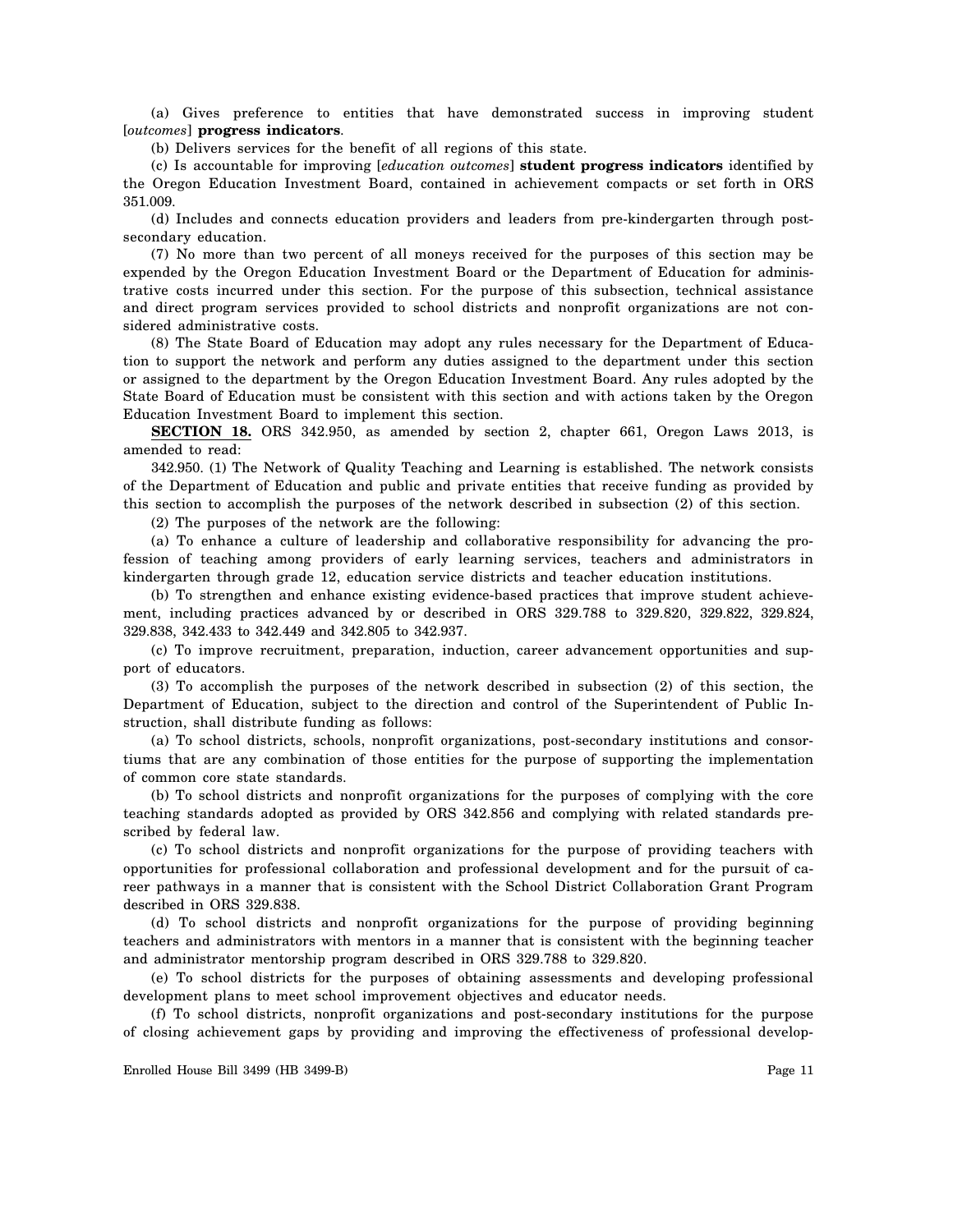(a) Gives preference to entities that have demonstrated success in improving student [*outcomes*] **progress indicators**.

(b) Delivers services for the benefit of all regions of this state.

(c) Is accountable for improving [*education outcomes*] **student progress indicators** identified by the Oregon Education Investment Board, contained in achievement compacts or set forth in ORS 351.009.

(d) Includes and connects education providers and leaders from pre-kindergarten through postsecondary education.

(7) No more than two percent of all moneys received for the purposes of this section may be expended by the Oregon Education Investment Board or the Department of Education for administrative costs incurred under this section. For the purpose of this subsection, technical assistance and direct program services provided to school districts and nonprofit organizations are not considered administrative costs.

(8) The State Board of Education may adopt any rules necessary for the Department of Education to support the network and perform any duties assigned to the department under this section or assigned to the department by the Oregon Education Investment Board. Any rules adopted by the State Board of Education must be consistent with this section and with actions taken by the Oregon Education Investment Board to implement this section.

**SECTION 18.** ORS 342.950, as amended by section 2, chapter 661, Oregon Laws 2013, is amended to read:

342.950. (1) The Network of Quality Teaching and Learning is established. The network consists of the Department of Education and public and private entities that receive funding as provided by this section to accomplish the purposes of the network described in subsection (2) of this section.

(2) The purposes of the network are the following:

(a) To enhance a culture of leadership and collaborative responsibility for advancing the profession of teaching among providers of early learning services, teachers and administrators in kindergarten through grade 12, education service districts and teacher education institutions.

(b) To strengthen and enhance existing evidence-based practices that improve student achievement, including practices advanced by or described in ORS 329.788 to 329.820, 329.822, 329.824, 329.838, 342.433 to 342.449 and 342.805 to 342.937.

(c) To improve recruitment, preparation, induction, career advancement opportunities and support of educators.

(3) To accomplish the purposes of the network described in subsection (2) of this section, the Department of Education, subject to the direction and control of the Superintendent of Public Instruction, shall distribute funding as follows:

(a) To school districts, schools, nonprofit organizations, post-secondary institutions and consortiums that are any combination of those entities for the purpose of supporting the implementation of common core state standards.

(b) To school districts and nonprofit organizations for the purposes of complying with the core teaching standards adopted as provided by ORS 342.856 and complying with related standards prescribed by federal law.

(c) To school districts and nonprofit organizations for the purpose of providing teachers with opportunities for professional collaboration and professional development and for the pursuit of career pathways in a manner that is consistent with the School District Collaboration Grant Program described in ORS 329.838.

(d) To school districts and nonprofit organizations for the purpose of providing beginning teachers and administrators with mentors in a manner that is consistent with the beginning teacher and administrator mentorship program described in ORS 329.788 to 329.820.

(e) To school districts for the purposes of obtaining assessments and developing professional development plans to meet school improvement objectives and educator needs.

(f) To school districts, nonprofit organizations and post-secondary institutions for the purpose of closing achievement gaps by providing and improving the effectiveness of professional develop-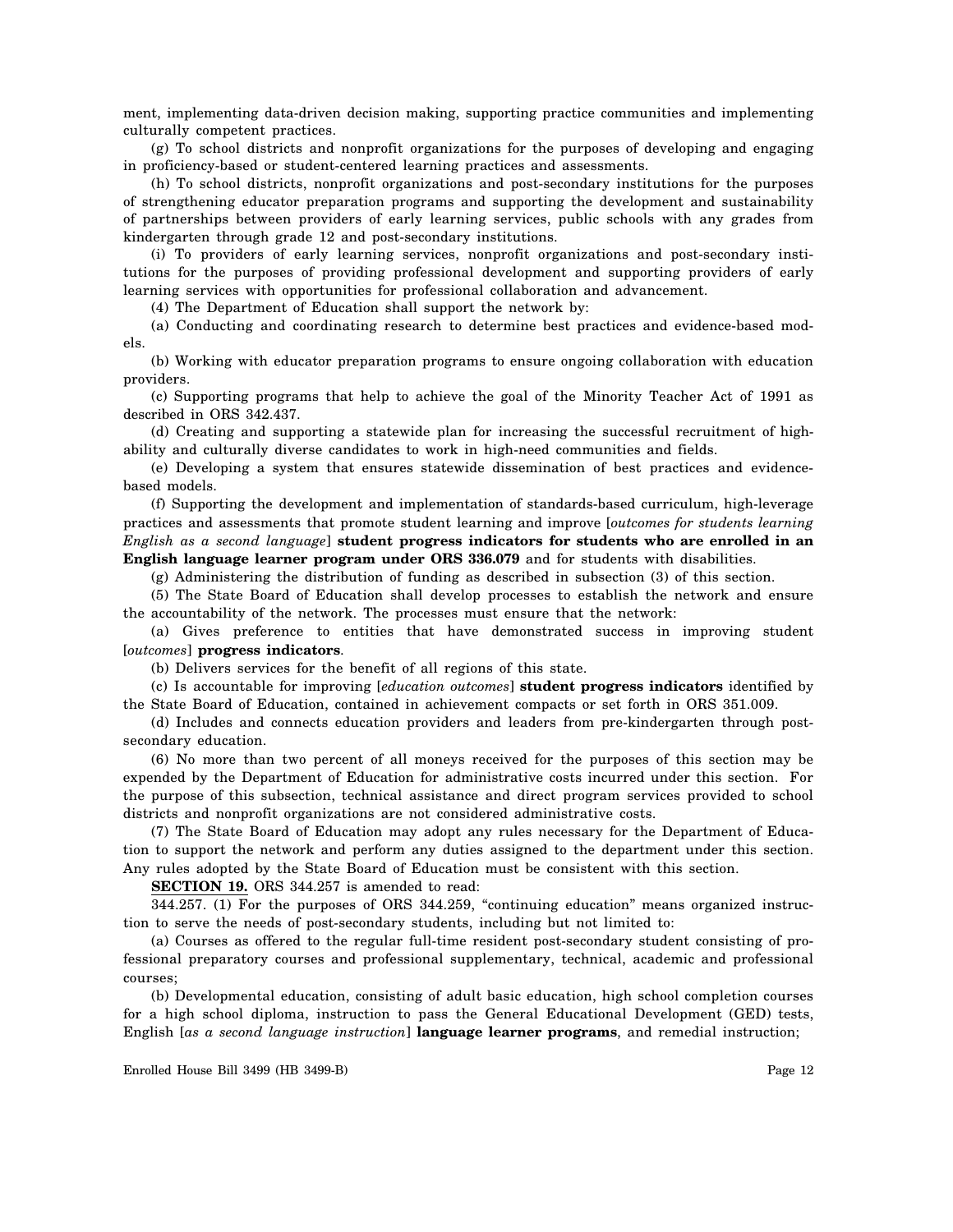ment, implementing data-driven decision making, supporting practice communities and implementing culturally competent practices.

(g) To school districts and nonprofit organizations for the purposes of developing and engaging in proficiency-based or student-centered learning practices and assessments.

(h) To school districts, nonprofit organizations and post-secondary institutions for the purposes of strengthening educator preparation programs and supporting the development and sustainability of partnerships between providers of early learning services, public schools with any grades from kindergarten through grade 12 and post-secondary institutions.

(i) To providers of early learning services, nonprofit organizations and post-secondary institutions for the purposes of providing professional development and supporting providers of early learning services with opportunities for professional collaboration and advancement.

(4) The Department of Education shall support the network by:

(a) Conducting and coordinating research to determine best practices and evidence-based models.

(b) Working with educator preparation programs to ensure ongoing collaboration with education providers.

(c) Supporting programs that help to achieve the goal of the Minority Teacher Act of 1991 as described in ORS 342.437.

(d) Creating and supporting a statewide plan for increasing the successful recruitment of highability and culturally diverse candidates to work in high-need communities and fields.

(e) Developing a system that ensures statewide dissemination of best practices and evidencebased models.

(f) Supporting the development and implementation of standards-based curriculum, high-leverage practices and assessments that promote student learning and improve [*outcomes for students learning English as a second language*] **student progress indicators for students who are enrolled in an English language learner program under ORS 336.079** and for students with disabilities.

(g) Administering the distribution of funding as described in subsection (3) of this section.

(5) The State Board of Education shall develop processes to establish the network and ensure the accountability of the network. The processes must ensure that the network:

(a) Gives preference to entities that have demonstrated success in improving student [*outcomes*] **progress indicators**.

(b) Delivers services for the benefit of all regions of this state.

(c) Is accountable for improving [*education outcomes*] **student progress indicators** identified by the State Board of Education, contained in achievement compacts or set forth in ORS 351.009.

(d) Includes and connects education providers and leaders from pre-kindergarten through postsecondary education.

(6) No more than two percent of all moneys received for the purposes of this section may be expended by the Department of Education for administrative costs incurred under this section. For the purpose of this subsection, technical assistance and direct program services provided to school districts and nonprofit organizations are not considered administrative costs.

(7) The State Board of Education may adopt any rules necessary for the Department of Education to support the network and perform any duties assigned to the department under this section. Any rules adopted by the State Board of Education must be consistent with this section.

**SECTION 19.** ORS 344.257 is amended to read:

344.257. (1) For the purposes of ORS 344.259, "continuing education" means organized instruction to serve the needs of post-secondary students, including but not limited to:

(a) Courses as offered to the regular full-time resident post-secondary student consisting of professional preparatory courses and professional supplementary, technical, academic and professional courses;

(b) Developmental education, consisting of adult basic education, high school completion courses for a high school diploma, instruction to pass the General Educational Development (GED) tests, English [*as a second language instruction*] **language learner programs**, and remedial instruction;